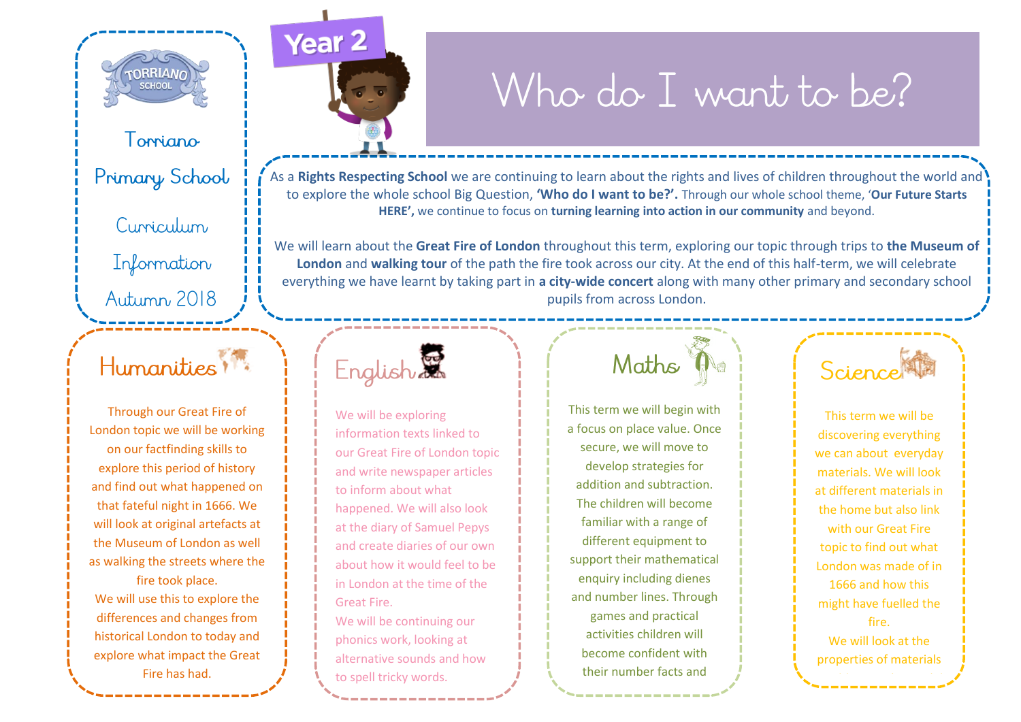

### Toppiano

Primary School

Curriculum

Information

### Autumn 2018

## Humanities !!

Through our Great Fire of London topic we will be working on our factfinding skills to explore this period of history and find out what happened on that fateful night in 1666. We will look at original artefacts at the Museum of London as well as walking the streets where the fire took place.

We will use this to explore the differences and changes from historical London to today and explore what impact the Great Fire has had.



# Who do I want to be?

As a **Rights Respecting School** we are continuing to learn about the rights and lives of children throughout the world and to explore the whole school Big Question, **'Who do I want to be?'.** Through our whole school theme, '**Our Future Starts HERE',** we continue to focus on **turning learning into action in our community** and beyond.

We will learn about the **Great Fire of London** throughout this term, exploring our topic through trips to **the Museum of London** and **walking tour** of the path the fire took across our city. At the end of this half-term, we will celebrate everything we have learnt by taking part in **a city-wide concert** along with many other primary and secondary school pupils from across London.



We will be exploring information texts linked to our Great Fire of London topic and write newspaper articles to inform about what happened. We will also look at the diary of Samuel Pepys and create diaries of our own about how it would feel to be in London at the time of the Great Fire.

We will be continuing our phonics work, looking at alternative sounds and how to spell tricky words.

# Maths

This term we will begin with a focus on place value. Once secure, we will move to develop strategies for addition and subtraction. The children will become familiar with a range of different equipment to support their mathematical enquiry including dienes and number lines. Through games and practical activities children will become confident with their number facts and

maths language.



This term we will be discovering everything we can about everyday materials. We will look at different materials in the home but also link with our Great Fire topic to find out what London was made of in 1666 and how this might have fuelled the fire. We will look at the properties of materials

in addition to how solid